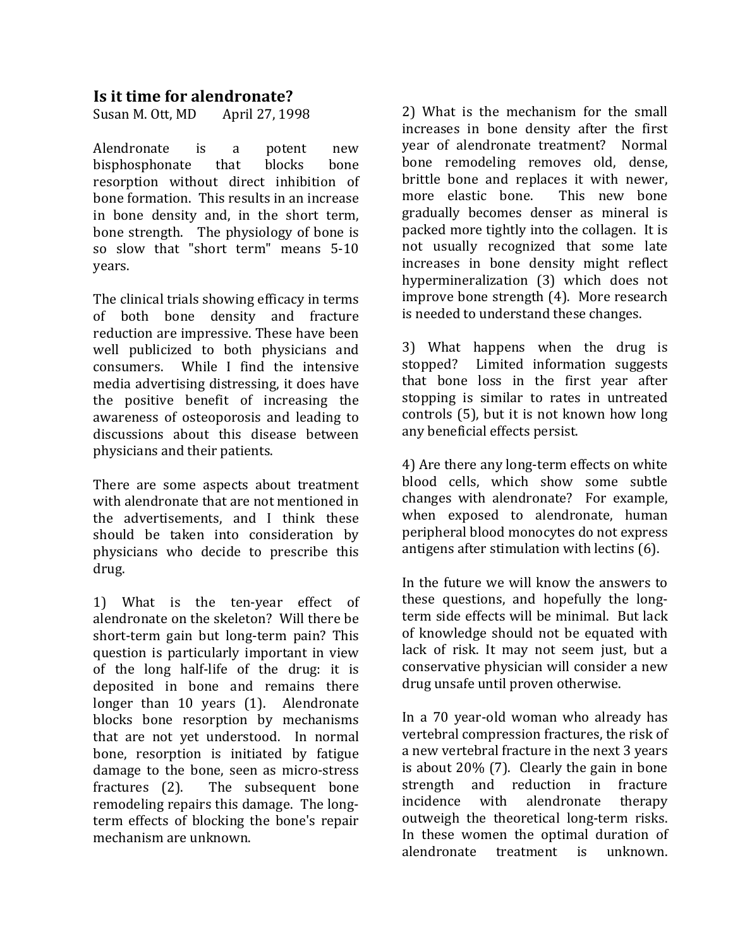## **Is it time for alendronate?**

Susan M. Ott, MD April 27, 1998

Alendronate is a potent new bisphosphonate that blocks bone resorption without direct inhibition of bone formation. This results in an increase in bone density and, in the short term, bone strength. The physiology of bone is so slow that "short term" means 5-10 years.

The clinical trials showing efficacy in terms of both bone density and fracture reduction are impressive. These have been well publicized to both physicians and consumers. While I find the intensive media advertising distressing, it does have the positive benefit of increasing the awareness of osteoporosis and leading to discussions about this disease between physicians and their patients.

There are some aspects about treatment with alendronate that are not mentioned in the advertisements, and I think these should be taken into consideration by physicians who decide to prescribe this drug.

1) What is the ten-year effect of alendronate on the skeleton? Will there be short-term gain but long-term pain? This question is particularly important in view of the long half-life of the drug: it is deposited in bone and remains there longer than  $10$  years  $(1)$ . Alendronate blocks bone resorption by mechanisms that are not yet understood. In normal bone, resorption is initiated by fatigue damage to the bone, seen as micro-stress fractures  $(2)$ . The subsequent bone remodeling repairs this damage. The longterm effects of blocking the bone's repair mechanism are unknown.

2) What is the mechanism for the small increases in bone density after the first year of alendronate treatment? Normal bone remodeling removes old, dense, brittle bone and replaces it with newer, more elastic bone. This new bone gradually becomes denser as mineral is packed more tightly into the collagen. It is not usually recognized that some late increases in bone density might reflect hypermineralization (3) which does not improve bone strength  $(4)$ . More research is needed to understand these changes.

3) What happens when the drug is stopped? Limited information suggests that bone loss in the first year after stopping is similar to rates in untreated controls  $(5)$ , but it is not known how long any beneficial effects persist.

4) Are there any long-term effects on white blood cells, which show some subtle changes with alendronate? For example, when exposed to alendronate, human peripheral blood monocytes do not express antigens after stimulation with lectins  $(6)$ .

In the future we will know the answers to these questions, and hopefully the longterm side effects will be minimal. But lack of knowledge should not be equated with lack of risk. It may not seem just, but a conservative physician will consider a new drug unsafe until proven otherwise.

In a 70 year-old woman who already has vertebral compression fractures, the risk of a new vertebral fracture in the next 3 years is about  $20\%$  (7). Clearly the gain in bone strength and reduction in fracture incidence with alendronate therapy outweigh the theoretical long-term risks. In these women the optimal duration of alendronate treatment is unknown.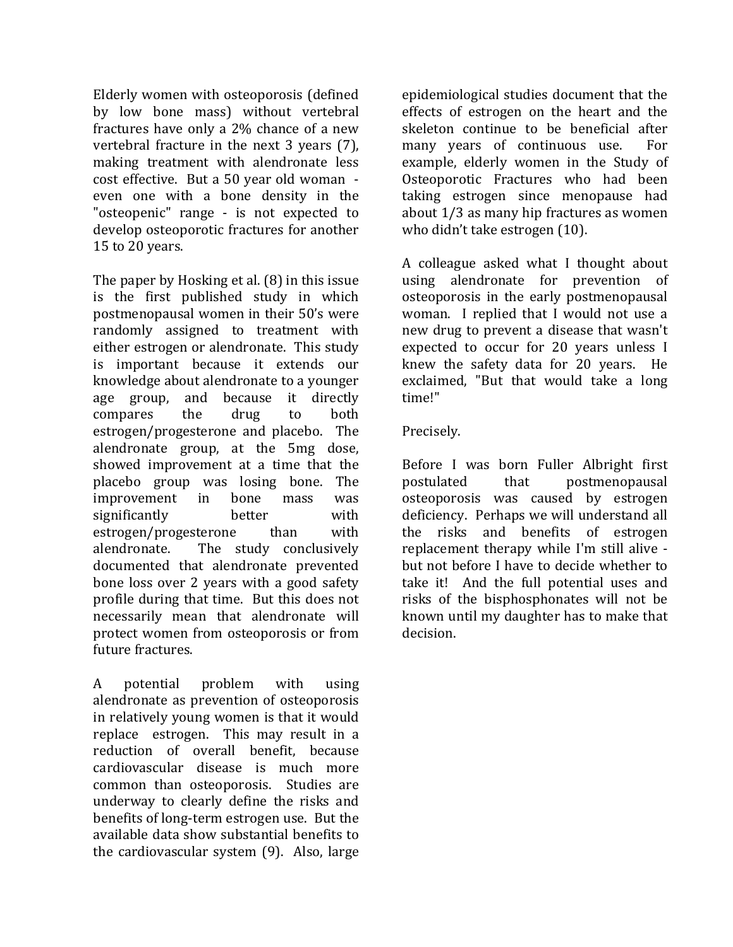Elderly women with osteoporosis (defined by low bone mass) without vertebral fractures have only a  $2\%$  chance of a new vertebral fracture in the next  $3$  years (7), making treatment with alendronate less cost effective. But a 50 year old woman even one with a bone density in the "osteopenic" range - is not expected to develop osteoporotic fractures for another 15 to 20 years.

The paper by Hosking et al.  $(8)$  in this issue is the first published study in which postmenopausal women in their 50's were randomly assigned to treatment with either estrogen or alendronate. This study is important because it extends our knowledge about alendronate to a younger age group, and because it directly compares the drug to both estrogen/progesterone and placebo. The alendronate group, at the  $5mg$  dose, showed improvement at a time that the placebo group was losing bone. The improvement in bone mass was significantly better with  $estrogen/progesterone$  than with alendronate. The study conclusively documented that alendronate prevented bone loss over 2 years with a good safety profile during that time. But this does not necessarily mean that alendronate will protect women from osteoporosis or from future fractures.

A potential problem with using alendronate as prevention of osteoporosis in relatively young women is that it would replace estrogen. This may result in a reduction of overall benefit, because cardiovascular disease is much more common than osteoporosis. Studies are underway to clearly define the risks and benefits of long-term estrogen use. But the available data show substantial benefits to the cardiovascular system  $(9)$ . Also, large epidemiological studies document that the effects of estrogen on the heart and the skeleton continue to be beneficial after many years of continuous use. For example, elderly women in the Study of Osteoporotic Fractures who had been taking estrogen since menopause had about  $1/3$  as many hip fractures as women who didn't take estrogen (10).

A colleague asked what I thought about using alendronate for prevention of osteoporosis in the early postmenopausal woman. I replied that I would not use a new drug to prevent a disease that wasn't expected to occur for 20 years unless I knew the safety data for  $20$  years. He exclaimed, "But that would take a long time!"

## Precisely.

Before I was born Fuller Albright first postulated& that& postmenopausal& osteoporosis was caused by estrogen deficiency. Perhaps we will understand all the risks and benefits of estrogen replacement therapy while I'm still alive but not before I have to decide whether to take it! And the full potential uses and risks of the bisphosphonates will not be known until my daughter has to make that decision.